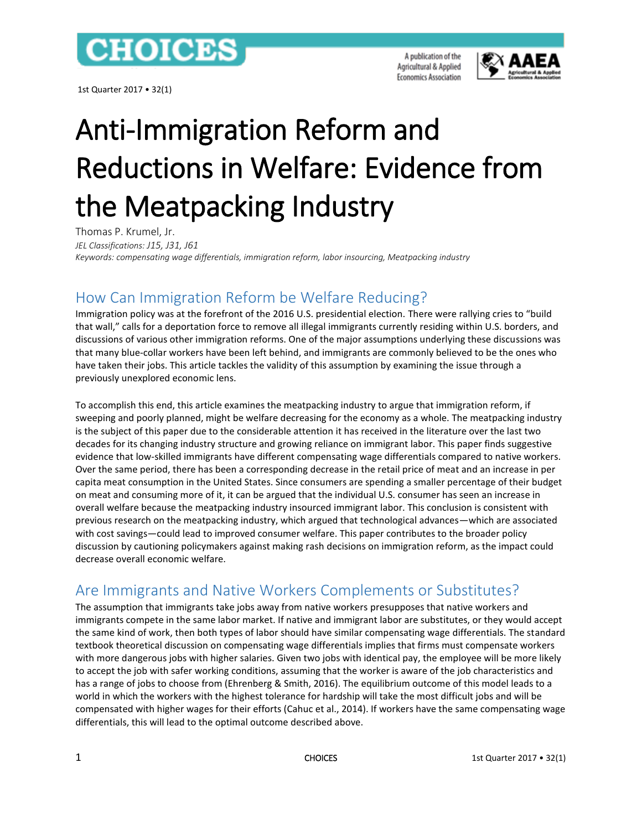## **CHOICES**

1st Quarter 2017 • 32(1)

A publication of the Agricultural & Applied **Economics Association** 



# Anti-Immigration Reform and Reductions in Welfare: Evidence from the Meatpacking Industry

Thomas P. Krumel, Jr. *JEL Classifications: J15, J31, J61 Keywords: compensating wage differentials, immigration reform, labor insourcing, Meatpacking industry*

## How Can Immigration Reform be Welfare Reducing?

Immigration policy was at the forefront of the 2016 U.S. presidential election. There were rallying cries to "build that wall," calls for a deportation force to remove all illegal immigrants currently residing within U.S. borders, and discussions of various other immigration reforms. One of the major assumptions underlying these discussions was that many blue-collar workers have been left behind, and immigrants are commonly believed to be the ones who have taken their jobs. This article tackles the validity of this assumption by examining the issue through a previously unexplored economic lens.

To accomplish this end, this article examines the meatpacking industry to argue that immigration reform, if sweeping and poorly planned, might be welfare decreasing for the economy as a whole. The meatpacking industry is the subject of this paper due to the considerable attention it has received in the literature over the last two decades for its changing industry structure and growing reliance on immigrant labor. This paper finds suggestive evidence that low-skilled immigrants have different compensating wage differentials compared to native workers. Over the same period, there has been a corresponding decrease in the retail price of meat and an increase in per capita meat consumption in the United States. Since consumers are spending a smaller percentage of their budget on meat and consuming more of it, it can be argued that the individual U.S. consumer has seen an increase in overall welfare because the meatpacking industry insourced immigrant labor. This conclusion is consistent with previous research on the meatpacking industry, which argued that technological advances—which are associated with cost savings—could lead to improved consumer welfare. This paper contributes to the broader policy discussion by cautioning policymakers against making rash decisions on immigration reform, as the impact could decrease overall economic welfare.

## Are Immigrants and Native Workers Complements or Substitutes?

The assumption that immigrants take jobs away from native workers presupposes that native workers and immigrants compete in the same labor market. If native and immigrant labor are substitutes, or they would accept the same kind of work, then both types of labor should have similar compensating wage differentials. The standard textbook theoretical discussion on compensating wage differentials implies that firms must compensate workers with more dangerous jobs with higher salaries. Given two jobs with identical pay, the employee will be more likely to accept the job with safer working conditions, assuming that the worker is aware of the job characteristics and has a range of jobs to choose from (Ehrenberg & Smith, 2016). The equilibrium outcome of this model leads to a world in which the workers with the highest tolerance for hardship will take the most difficult jobs and will be compensated with higher wages for their efforts (Cahuc et al., 2014). If workers have the same compensating wage differentials, this will lead to the optimal outcome described above.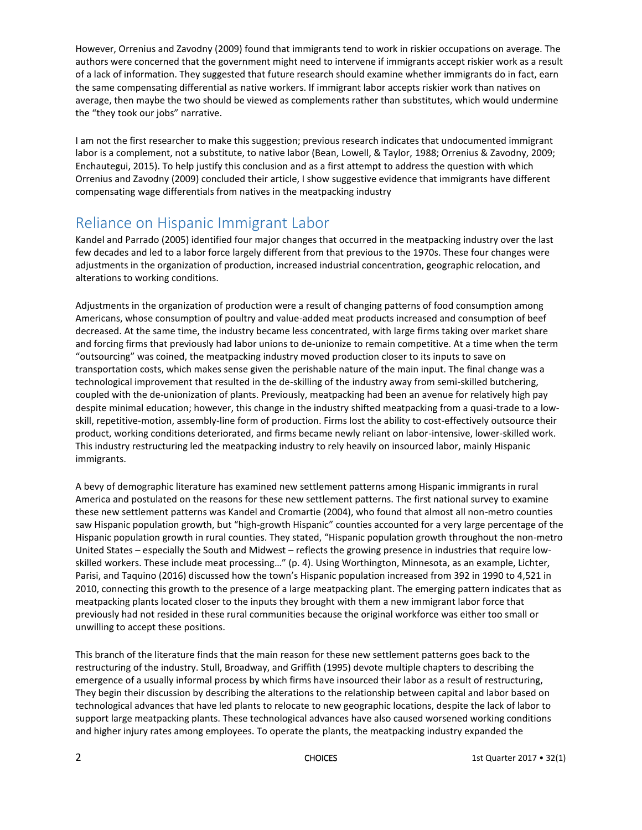However, Orrenius and Zavodny (2009) found that immigrants tend to work in riskier occupations on average. The authors were concerned that the government might need to intervene if immigrants accept riskier work as a result of a lack of information. They suggested that future research should examine whether immigrants do in fact, earn the same compensating differential as native workers. If immigrant labor accepts riskier work than natives on average, then maybe the two should be viewed as complements rather than substitutes, which would undermine the "they took our jobs" narrative.

I am not the first researcher to make this suggestion; previous research indicates that undocumented immigrant labor is a complement, not a substitute, to native labor (Bean, Lowell, & Taylor, 1988; Orrenius & Zavodny, 2009; Enchautegui, 2015). To help justify this conclusion and as a first attempt to address the question with which Orrenius and Zavodny (2009) concluded their article, I show suggestive evidence that immigrants have different compensating wage differentials from natives in the meatpacking industry

#### Reliance on Hispanic Immigrant Labor

Kandel and Parrado (2005) identified four major changes that occurred in the meatpacking industry over the last few decades and led to a labor force largely different from that previous to the 1970s. These four changes were adjustments in the organization of production, increased industrial concentration, geographic relocation, and alterations to working conditions.

Adjustments in the organization of production were a result of changing patterns of food consumption among Americans, whose consumption of poultry and value-added meat products increased and consumption of beef decreased. At the same time, the industry became less concentrated, with large firms taking over market share and forcing firms that previously had labor unions to de-unionize to remain competitive. At a time when the term "outsourcing" was coined, the meatpacking industry moved production closer to its inputs to save on transportation costs, which makes sense given the perishable nature of the main input. The final change was a technological improvement that resulted in the de-skilling of the industry away from semi-skilled butchering, coupled with the de-unionization of plants. Previously, meatpacking had been an avenue for relatively high pay despite minimal education; however, this change in the industry shifted meatpacking from a quasi-trade to a lowskill, repetitive-motion, assembly-line form of production. Firms lost the ability to cost-effectively outsource their product, working conditions deteriorated, and firms became newly reliant on labor-intensive, lower-skilled work. This industry restructuring led the meatpacking industry to rely heavily on insourced labor, mainly Hispanic immigrants.

A bevy of demographic literature has examined new settlement patterns among Hispanic immigrants in rural America and postulated on the reasons for these new settlement patterns. The first national survey to examine these new settlement patterns was Kandel and Cromartie (2004), who found that almost all non-metro counties saw Hispanic population growth, but "high-growth Hispanic" counties accounted for a very large percentage of the Hispanic population growth in rural counties. They stated, "Hispanic population growth throughout the non-metro United States – especially the South and Midwest – reflects the growing presence in industries that require lowskilled workers. These include meat processing…" (p. 4). Using Worthington, Minnesota, as an example, Lichter, Parisi, and Taquino (2016) discussed how the town's Hispanic population increased from 392 in 1990 to 4,521 in 2010, connecting this growth to the presence of a large meatpacking plant. The emerging pattern indicates that as meatpacking plants located closer to the inputs they brought with them a new immigrant labor force that previously had not resided in these rural communities because the original workforce was either too small or unwilling to accept these positions.

This branch of the literature finds that the main reason for these new settlement patterns goes back to the restructuring of the industry. Stull, Broadway, and Griffith (1995) devote multiple chapters to describing the emergence of a usually informal process by which firms have insourced their labor as a result of restructuring, They begin their discussion by describing the alterations to the relationship between capital and labor based on technological advances that have led plants to relocate to new geographic locations, despite the lack of labor to support large meatpacking plants. These technological advances have also caused worsened working conditions and higher injury rates among employees. To operate the plants, the meatpacking industry expanded the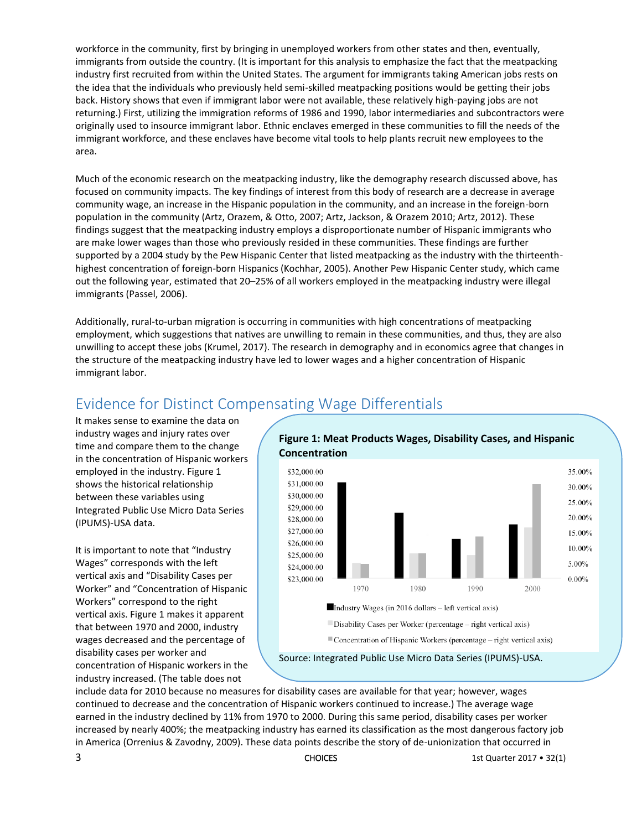workforce in the community, first by bringing in unemployed workers from other states and then, eventually, immigrants from outside the country. (It is important for this analysis to emphasize the fact that the meatpacking industry first recruited from within the United States. The argument for immigrants taking American jobs rests on the idea that the individuals who previously held semi-skilled meatpacking positions would be getting their jobs back. History shows that even if immigrant labor were not available, these relatively high-paying jobs are not returning.) First, utilizing the immigration reforms of 1986 and 1990, labor intermediaries and subcontractors were originally used to insource immigrant labor. Ethnic enclaves emerged in these communities to fill the needs of the immigrant workforce, and these enclaves have become vital tools to help plants recruit new employees to the area.

Much of the economic research on the meatpacking industry, like the demography research discussed above, has focused on community impacts. The key findings of interest from this body of research are a decrease in average community wage, an increase in the Hispanic population in the community, and an increase in the foreign-born population in the community (Artz, Orazem, & Otto, 2007; Artz, Jackson, & Orazem 2010; Artz, 2012). These findings suggest that the meatpacking industry employs a disproportionate number of Hispanic immigrants who are make lower wages than those who previously resided in these communities. These findings are further supported by a 2004 study by the Pew Hispanic Center that listed meatpacking as the industry with the thirteenthhighest concentration of foreign-born Hispanics (Kochhar, 2005). Another Pew Hispanic Center study, which came out the following year, estimated that 20–25% of all workers employed in the meatpacking industry were illegal immigrants (Passel, 2006).

Additionally, rural-to-urban migration is occurring in communities with high concentrations of meatpacking employment, which suggestions that natives are unwilling to remain in these communities, and thus, they are also unwilling to accept these jobs (Krumel, 2017). The research in demography and in economics agree that changes in the structure of the meatpacking industry have led to lower wages and a higher concentration of Hispanic immigrant labor.

#### Evidence for Distinct Compensating Wage Differentials

It makes sense to examine the data on industry wages and injury rates over time and compare them to the change in the concentration of Hispanic workers employed in the industry. Figure 1 shows the historical relationship between these variables using Integrated Public Use Micro Data Series (IPUMS)-USA data.

It is important to note that "Industry Wages" corresponds with the left vertical axis and "Disability Cases per Worker" and "Concentration of Hispanic Workers" correspond to the right vertical axis. Figure 1 makes it apparent that between 1970 and 2000, industry wages decreased and the percentage of disability cases per worker and concentration of Hispanic workers in the industry increased. (The table does not



include data for 2010 because no measures for disability cases are available for that year; however, wages continued to decrease and the concentration of Hispanic workers continued to increase.) The average wage earned in the industry declined by 11% from 1970 to 2000. During this same period, disability cases per worker increased by nearly 400%; the meatpacking industry has earned its classification as the most dangerous factory job in America (Orrenius & Zavodny, 2009). These data points describe the story of de-unionization that occurred in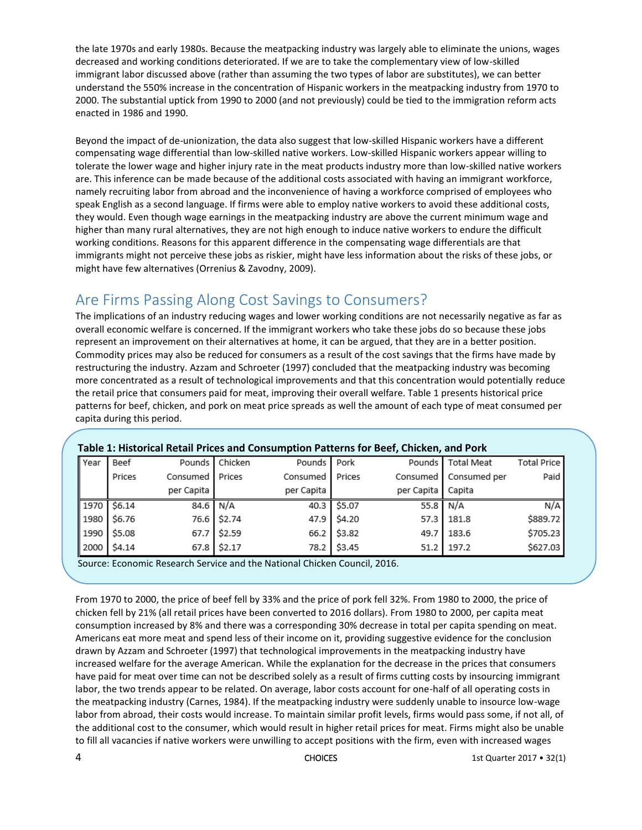the late 1970s and early 1980s. Because the meatpacking industry was largely able to eliminate the unions, wages decreased and working conditions deteriorated. If we are to take the complementary view of low-skilled immigrant labor discussed above (rather than assuming the two types of labor are substitutes), we can better understand the 550% increase in the concentration of Hispanic workers in the meatpacking industry from 1970 to 2000. The substantial uptick from 1990 to 2000 (and not previously) could be tied to the immigration reform acts enacted in 1986 and 1990.

Beyond the impact of de-unionization, the data also suggest that low-skilled Hispanic workers have a different compensating wage differential than low-skilled native workers. Low-skilled Hispanic workers appear willing to tolerate the lower wage and higher injury rate in the meat products industry more than low-skilled native workers are. This inference can be made because of the additional costs associated with having an immigrant workforce, namely recruiting labor from abroad and the inconvenience of having a workforce comprised of employees who speak English as a second language. If firms were able to employ native workers to avoid these additional costs, they would. Even though wage earnings in the meatpacking industry are above the current minimum wage and higher than many rural alternatives, they are not high enough to induce native workers to endure the difficult working conditions. Reasons for this apparent difference in the compensating wage differentials are that immigrants might not perceive these jobs as riskier, might have less information about the risks of these jobs, or might have few alternatives (Orrenius & Zavodny, 2009).

#### Are Firms Passing Along Cost Savings to Consumers?

The implications of an industry reducing wages and lower working conditions are not necessarily negative as far as overall economic welfare is concerned. If the immigrant workers who take these jobs do so because these jobs represent an improvement on their alternatives at home, it can be argued, that they are in a better position. Commodity prices may also be reduced for consumers as a result of the cost savings that the firms have made by restructuring the industry. Azzam and Schroeter (1997) concluded that the meatpacking industry was becoming more concentrated as a result of technological improvements and that this concentration would potentially reduce the retail price that consumers paid for meat, improving their overall welfare. Table 1 presents historical price patterns for beef, chicken, and pork on meat price spreads as well the amount of each type of meat consumed per capita during this period.

| Table 1: Historical Retail Prices and Consumption Patterns for Beef, Chicken, and Pork |               |            |                  |             |             |            |                         |                    |
|----------------------------------------------------------------------------------------|---------------|------------|------------------|-------------|-------------|------------|-------------------------|--------------------|
| Year                                                                                   | Beef          |            | Pounds   Chicken | Pounds Pork |             |            | Pounds   Total Meat     | <b>Total Price</b> |
|                                                                                        | Prices        | Consumed I | Prices           | Consumed    | Prices      |            | Consumed   Consumed per | Paid               |
|                                                                                        |               | per Capita |                  | per Capita  |             | per Capita | Capita                  |                    |
|                                                                                        | 1970   \$6.14 | 84.6 $N/A$ |                  |             | 40.3 \$5.07 |            | 55.8 N/A                | N/A                |
|                                                                                        | 1980   \$6.76 |            | 76.6 \$2.74      |             | 47.9 \$4.20 |            | 57.3 181.8              | \$889.72           |
| 1990                                                                                   | \$5.08        |            | 67.7 \$2.59      |             | 66.2 \$3.82 | 49.7       | 183.6                   | \$705.23           |
|                                                                                        | 2000 54.14    |            | 67.8 \$2.17      |             | 78.2 \$3.45 |            | 51.2 197.2              | \$627.03           |

#### **Table 1: Historical Retail Prices and Consumption Patterns for Beef, Chicken, and Pork**

Source: Economic Research Service and the National Chicken Council, 2016.

From 1970 to 2000, the price of beef fell by 33% and the price of pork fell 32%. From 1980 to 2000, the price of chicken fell by 21% (all retail prices have been converted to 2016 dollars). From 1980 to 2000, per capita meat consumption increased by 8% and there was a corresponding 30% decrease in total per capita spending on meat. Americans eat more meat and spend less of their income on it, providing suggestive evidence for the conclusion drawn by Azzam and Schroeter (1997) that technological improvements in the meatpacking industry have increased welfare for the average American. While the explanation for the decrease in the prices that consumers have paid for meat over time can not be described solely as a result of firms cutting costs by insourcing immigrant labor, the two trends appear to be related. On average, labor costs account for one-half of all operating costs in the meatpacking industry (Carnes, 1984). If the meatpacking industry were suddenly unable to insource low-wage labor from abroad, their costs would increase. To maintain similar profit levels, firms would pass some, if not all, of the additional cost to the consumer, which would result in higher retail prices for meat. Firms might also be unable to fill all vacancies if native workers were unwilling to accept positions with the firm, even with increased wages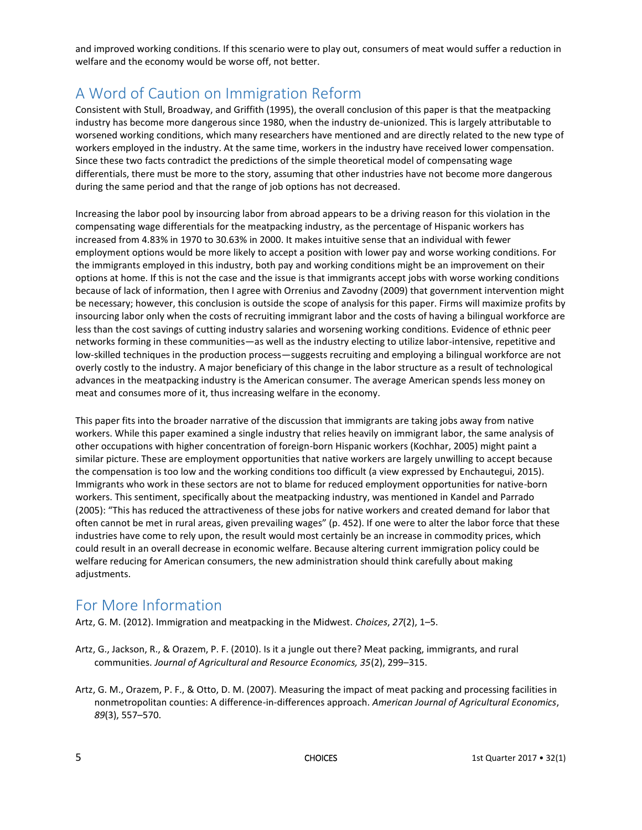and improved working conditions. If this scenario were to play out, consumers of meat would suffer a reduction in welfare and the economy would be worse off, not better.

#### A Word of Caution on Immigration Reform

Consistent with Stull, Broadway, and Griffith (1995), the overall conclusion of this paper is that the meatpacking industry has become more dangerous since 1980, when the industry de-unionized. This is largely attributable to worsened working conditions, which many researchers have mentioned and are directly related to the new type of workers employed in the industry. At the same time, workers in the industry have received lower compensation. Since these two facts contradict the predictions of the simple theoretical model of compensating wage differentials, there must be more to the story, assuming that other industries have not become more dangerous during the same period and that the range of job options has not decreased.

Increasing the labor pool by insourcing labor from abroad appears to be a driving reason for this violation in the compensating wage differentials for the meatpacking industry, as the percentage of Hispanic workers has increased from 4.83% in 1970 to 30.63% in 2000. It makes intuitive sense that an individual with fewer employment options would be more likely to accept a position with lower pay and worse working conditions. For the immigrants employed in this industry, both pay and working conditions might be an improvement on their options at home. If this is not the case and the issue is that immigrants accept jobs with worse working conditions because of lack of information, then I agree with Orrenius and Zavodny (2009) that government intervention might be necessary; however, this conclusion is outside the scope of analysis for this paper. Firms will maximize profits by insourcing labor only when the costs of recruiting immigrant labor and the costs of having a bilingual workforce are less than the cost savings of cutting industry salaries and worsening working conditions. Evidence of ethnic peer networks forming in these communities—as well as the industry electing to utilize labor-intensive, repetitive and low-skilled techniques in the production process—suggests recruiting and employing a bilingual workforce are not overly costly to the industry. A major beneficiary of this change in the labor structure as a result of technological advances in the meatpacking industry is the American consumer. The average American spends less money on meat and consumes more of it, thus increasing welfare in the economy.

This paper fits into the broader narrative of the discussion that immigrants are taking jobs away from native workers. While this paper examined a single industry that relies heavily on immigrant labor, the same analysis of other occupations with higher concentration of foreign-born Hispanic workers (Kochhar, 2005) might paint a similar picture. These are employment opportunities that native workers are largely unwilling to accept because the compensation is too low and the working conditions too difficult (a view expressed by Enchautegui, 2015). Immigrants who work in these sectors are not to blame for reduced employment opportunities for native-born workers. This sentiment, specifically about the meatpacking industry, was mentioned in Kandel and Parrado (2005): "This has reduced the attractiveness of these jobs for native workers and created demand for labor that often cannot be met in rural areas, given prevailing wages" (p. 452). If one were to alter the labor force that these industries have come to rely upon, the result would most certainly be an increase in commodity prices, which could result in an overall decrease in economic welfare. Because altering current immigration policy could be welfare reducing for American consumers, the new administration should think carefully about making adjustments.

#### For More Information

Artz, G. M. (2012). Immigration and meatpacking in the Midwest. *Choices*, *27*(2), 1–5.

- Artz, G., Jackson, R., & Orazem, P. F. (2010). Is it a jungle out there? Meat packing, immigrants, and rural communities. *Journal of Agricultural and Resource Economics, 35*(2), 299–315.
- Artz, G. M., Orazem, P. F., & Otto, D. M. (2007). Measuring the impact of meat packing and processing facilities in nonmetropolitan counties: A difference-in-differences approach. *American Journal of Agricultural Economics*, *89*(3), 557–570.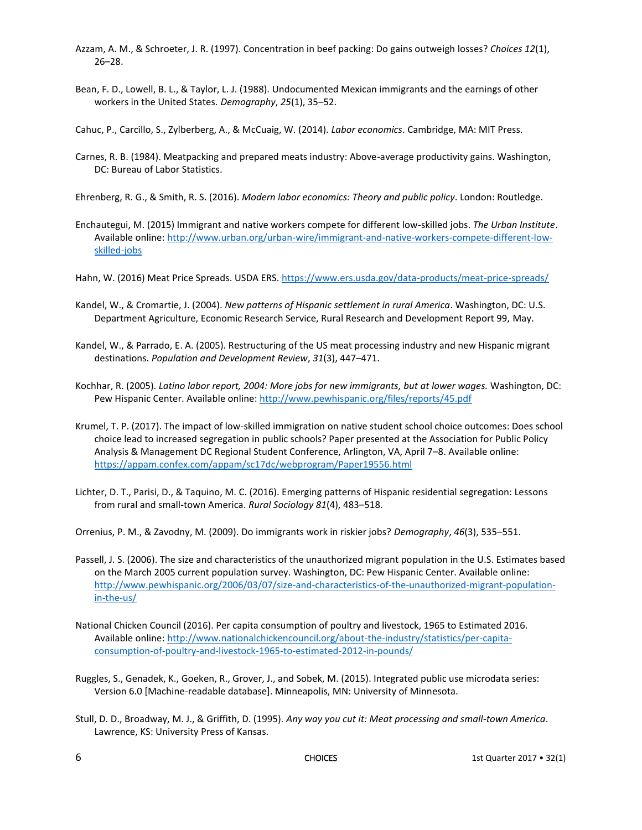- Azzam, A. M., & Schroeter, J. R. (1997). Concentration in beef packing: Do gains outweigh losses? *Choices 12*(1), 26–28.
- Bean, F. D., Lowell, B. L., & Taylor, L. J. (1988). Undocumented Mexican immigrants and the earnings of other workers in the United States. *Demography*, *25*(1), 35–52.
- Cahuc, P., Carcillo, S., Zylberberg, A., & McCuaig, W. (2014). *Labor economics*. Cambridge, MA: MIT Press.
- Carnes, R. B. (1984). Meatpacking and prepared meats industry: Above-average productivity gains. Washington, DC: Bureau of Labor Statistics.
- Ehrenberg, R. G., & Smith, R. S. (2016). *Modern labor economics: Theory and public policy*. London: Routledge.
- Enchautegui, M. (2015) Immigrant and native workers compete for different low-skilled jobs. *The Urban Institute*. Available online: [http://www.urban.org/urban-wire/immigrant-and-native-workers-compete-different-low](http://www.urban.org/urban-wire/immigrant-and-native-workers-compete-different-low-skilled-jobs)[skilled-jobs](http://www.urban.org/urban-wire/immigrant-and-native-workers-compete-different-low-skilled-jobs)
- Hahn, W. (2016) Meat Price Spreads. USDA ERS. <https://www.ers.usda.gov/data-products/meat-price-spreads/>
- Kandel, W., & Cromartie, J. (2004). *New patterns of Hispanic settlement in rural America*. Washington, DC: U.S. Department Agriculture, Economic Research Service, Rural Research and Development Report 99, May.
- Kandel, W., & Parrado, E. A. (2005). Restructuring of the US meat processing industry and new Hispanic migrant destinations. *Population and Development Review*, *31*(3), 447–471.
- Kochhar, R. (2005). *Latino labor report, 2004: More jobs for new immigrants, but at lower wages.* Washington, DC: Pew Hispanic Center. Available online: <http://www.pewhispanic.org/files/reports/45.pdf>
- Krumel, T. P. (2017). The impact of low-skilled immigration on native student school choice outcomes: Does school choice lead to increased segregation in public schools? Paper presented at the Association for Public Policy Analysis & Management DC Regional Student Conference, Arlington, VA, April 7–8. Available online: <https://appam.confex.com/appam/sc17dc/webprogram/Paper19556.html>
- Lichter, D. T., Parisi, D., & Taquino, M. C. (2016). Emerging patterns of Hispanic residential segregation: Lessons from rural and small‐town America. *Rural Sociology 81*(4), 483–518.
- Orrenius, P. M., & Zavodny, M. (2009). Do immigrants work in riskier jobs? *Demography*, *46*(3), 535–551.
- Passell, J. S. (2006). The size and characteristics of the unauthorized migrant population in the U.S. Estimates based on the March 2005 current population survey. Washington, DC: Pew Hispanic Center. Available online: [http://www.pewhispanic.org/2006/03/07/size-and-characteristics-of-the-unauthorized-migrant-population](http://www.pewhispanic.org/2006/03/07/size-and-characteristics-of-the-unauthorized-migrant-population-in-the-us/)[in-the-us/](http://www.pewhispanic.org/2006/03/07/size-and-characteristics-of-the-unauthorized-migrant-population-in-the-us/)
- National Chicken Council (2016). Per capita consumption of poultry and livestock, 1965 to Estimated 2016. Available online: [http://www.nationalchickencouncil.org/about-the-industry/statistics/per-capita](http://www.nationalchickencouncil.org/about-the-industry/statistics/per-capita-consumption-of-poultry-and-livestock-1965-to-estimated-2012-in-pounds/)[consumption-of-poultry-and-livestock-1965-to-estimated-2012-in-pounds/](http://www.nationalchickencouncil.org/about-the-industry/statistics/per-capita-consumption-of-poultry-and-livestock-1965-to-estimated-2012-in-pounds/)
- Ruggles, S., Genadek, K., Goeken, R., Grover, J., and Sobek, M. (2015). Integrated public use microdata series: Version 6.0 [Machine-readable database]. Minneapolis, MN: University of Minnesota.
- Stull, D. D., Broadway, M. J., & Griffith, D. (1995). *Any way you cut it: Meat processing and small-town America*. Lawrence, KS: University Press of Kansas.